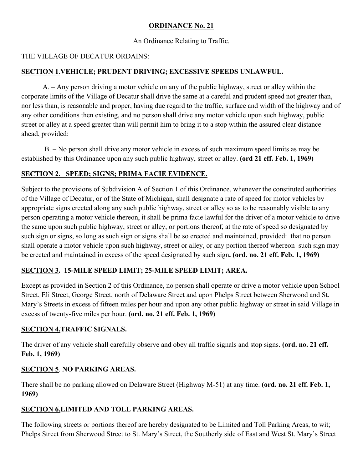#### **ORDINANCE No. 21**

An Ordinance Relating to Traffic.

#### THE VILLAGE OF DECATUR ORDAINS:

#### **SECTION 1**.**VEHICLE; PRUDENT DRIVING; EXCESSIVE SPEEDS UNLAWFUL.**

A. – Any person driving a motor vehicle on any of the public highway, street or alley within the corporate limits of the Village of Decatur shall drive the same at a careful and prudent speed not greater than, nor less than, is reasonable and proper, having due regard to the traffic, surface and width of the highway and of any other conditions then existing, and no person shall drive any motor vehicle upon such highway, public street or alley at a speed greater than will permit him to bring it to a stop within the assured clear distance ahead, provided:

 B. – No person shall drive any motor vehicle in excess of such maximum speed limits as may be established by this Ordinance upon any such public highway, street or alley. **(ord 21 eff. Feb. 1, 1969)** 

#### **SECTION 2. SPEED; SIGNS; PRIMA FACIE EVIDENCE.**

Subject to the provisions of Subdivision A of Section 1 of this Ordinance, whenever the constituted authorities of the Village of Decatur, or of the State of Michigan, shall designate a rate of speed for motor vehicles by appropriate signs erected along any such public highway, street or alley so as to be reasonably visible to any person operating a motor vehicle thereon, it shall be prima facie lawful for the driver of a motor vehicle to drive the same upon such public highway, street or alley, or portions thereof, at the rate of speed so designated by such sign or signs, so long as such sign or signs shall be so erected and maintained, provided: that no person shall operate a motor vehicle upon such highway, street or alley, or any portion thereof whereon such sign may be erected and maintained in excess of the speed designated by such sign**. (ord. no. 21 eff. Feb. 1, 1969)** 

### **SECTION 3. 15-MILE SPEED LIMIT; 25-MILE SPEED LIMIT; AREA.**

Except as provided in Section 2 of this Ordinance, no person shall operate or drive a motor vehicle upon School Street, Eli Street, George Street, north of Delaware Street and upon Phelps Street between Sherwood and St. Mary's Streets in excess of fifteen miles per hour and upon any other public highway or street in said Village in excess of twenty-five miles per hour. **(ord. no. 21 eff. Feb. 1, 1969)** 

#### **SECTION 4.TRAFFIC SIGNALS.**

The driver of any vehicle shall carefully observe and obey all traffic signals and stop signs. **(ord. no. 21 eff. Feb. 1, 1969)**

### **SECTION 5**. **NO PARKING AREAS.**

There shall be no parking allowed on Delaware Street (Highway M-51) at any time. **(ord. no. 21 eff. Feb. 1, 1969)** 

#### **SECTION 6.LIMITED AND TOLL PARKING AREAS.**

The following streets or portions thereof are hereby designated to be Limited and Toll Parking Areas, to wit; Phelps Street from Sherwood Street to St. Mary's Street, the Southerly side of East and West St. Mary's Street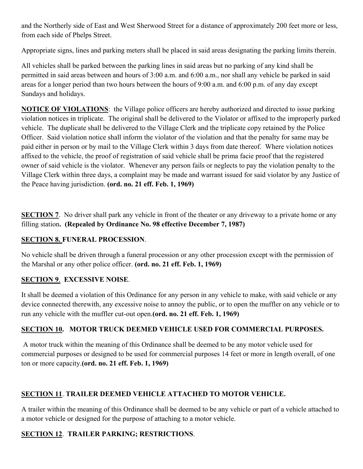and the Northerly side of East and West Sherwood Street for a distance of approximately 200 feet more or less, from each side of Phelps Street.

Appropriate signs, lines and parking meters shall be placed in said areas designating the parking limits therein.

All vehicles shall be parked between the parking lines in said areas but no parking of any kind shall be permitted in said areas between and hours of 3:00 a.m. and 6:00 a.m., nor shall any vehicle be parked in said areas for a longer period than two hours between the hours of 9:00 a.m. and 6:00 p.m. of any day except Sundays and holidays.

**NOTICE OF VIOLATIONS**: the Village police officers are hereby authorized and directed to issue parking violation notices in triplicate. The original shall be delivered to the Violator or affixed to the improperly parked vehicle. The duplicate shall be delivered to the Village Clerk and the triplicate copy retained by the Police Officer. Said violation notice shall inform the violator of the violation and that the penalty for same may be paid either in person or by mail to the Village Clerk within 3 days from date thereof. Where violation notices affixed to the vehicle, the proof of registration of said vehicle shall be prima facie proof that the registered owner of said vehicle is the violator. Whenever any person fails or neglects to pay the violation penalty to the Village Clerk within three days, a complaint may be made and warrant issued for said violator by any Justice of the Peace having jurisdiction. **(ord. no. 21 eff. Feb. 1, 1969)** 

**SECTION 7**. No driver shall park any vehicle in front of the theater or any driveway to a private home or any filling station**. (Repealed by Ordinance No. 98 effective December 7, 1987)** 

## **SECTION 8. FUNERAL PROCESSION**.

No vehicle shall be driven through a funeral procession or any other procession except with the permission of the Marshal or any other police officer. **(ord. no. 21 eff. Feb. 1, 1969)** 

## **SECTION 9**. **EXCESSIVE NOISE**.

It shall be deemed a violation of this Ordinance for any person in any vehicle to make, with said vehicle or any device connected therewith, any excessive noise to annoy the public, or to open the muffler on any vehicle or to run any vehicle with the muffler cut-out open.**(ord. no. 21 eff. Feb. 1, 1969)** 

## **SECTION 10. MOTOR TRUCK DEEMED VEHICLE USED FOR COMMERCIAL PURPOSES.**

A motor truck within the meaning of this Ordinance shall be deemed to be any motor vehicle used for commercial purposes or designed to be used for commercial purposes 14 feet or more in length overall, of one ton or more capacity.**(ord. no. 21 eff. Feb. 1, 1969)**

# **SECTION 11**. **TRAILER DEEMED VEHICLE ATTACHED TO MOTOR VEHICLE.**

A trailer within the meaning of this Ordinance shall be deemed to be any vehicle or part of a vehicle attached to a motor vehicle or designed for the purpose of attaching to a motor vehicle.

## **SECTION 12**. **TRAILER PARKING; RESTRICTIONS**.